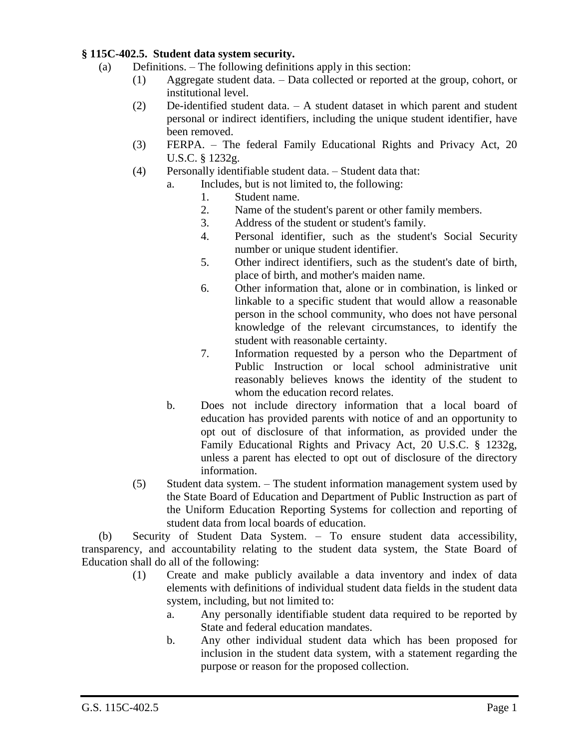## **§ 115C-402.5. Student data system security.**

- (a) Definitions. The following definitions apply in this section:
	- (1) Aggregate student data. Data collected or reported at the group, cohort, or institutional level.
	- (2) De-identified student data. A student dataset in which parent and student personal or indirect identifiers, including the unique student identifier, have been removed.
	- (3) FERPA. The federal Family Educational Rights and Privacy Act, 20 U.S.C. § 1232g.
	- (4) Personally identifiable student data. Student data that:
		- a. Includes, but is not limited to, the following:
			- 1. Student name.
			- 2. Name of the student's parent or other family members.
			- 3. Address of the student or student's family.
			- 4. Personal identifier, such as the student's Social Security number or unique student identifier.
			- 5. Other indirect identifiers, such as the student's date of birth, place of birth, and mother's maiden name.
			- 6. Other information that, alone or in combination, is linked or linkable to a specific student that would allow a reasonable person in the school community, who does not have personal knowledge of the relevant circumstances, to identify the student with reasonable certainty.
			- 7. Information requested by a person who the Department of Public Instruction or local school administrative unit reasonably believes knows the identity of the student to whom the education record relates.
		- b. Does not include directory information that a local board of education has provided parents with notice of and an opportunity to opt out of disclosure of that information, as provided under the Family Educational Rights and Privacy Act, 20 U.S.C. § 1232g, unless a parent has elected to opt out of disclosure of the directory information.
	- (5) Student data system. The student information management system used by the State Board of Education and Department of Public Instruction as part of the Uniform Education Reporting Systems for collection and reporting of student data from local boards of education.

(b) Security of Student Data System. – To ensure student data accessibility, transparency, and accountability relating to the student data system, the State Board of Education shall do all of the following:

- (1) Create and make publicly available a data inventory and index of data elements with definitions of individual student data fields in the student data system, including, but not limited to:
	- a. Any personally identifiable student data required to be reported by State and federal education mandates.
	- b. Any other individual student data which has been proposed for inclusion in the student data system, with a statement regarding the purpose or reason for the proposed collection.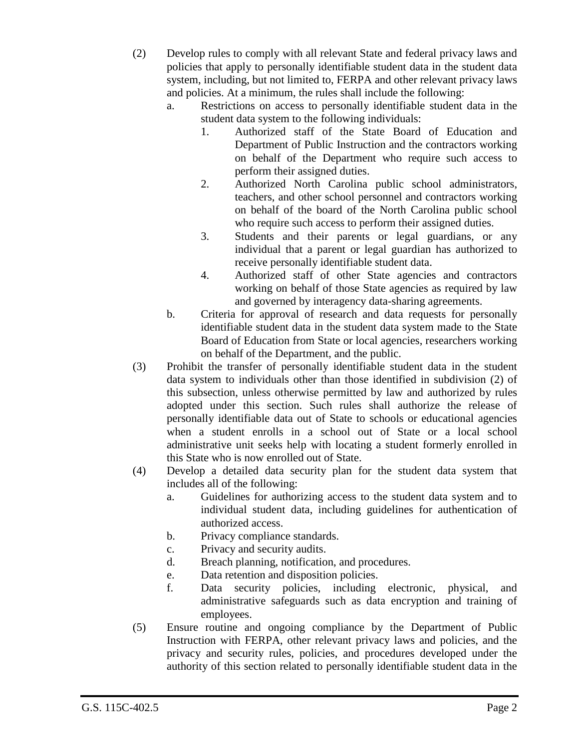- (2) Develop rules to comply with all relevant State and federal privacy laws and policies that apply to personally identifiable student data in the student data system, including, but not limited to, FERPA and other relevant privacy laws and policies. At a minimum, the rules shall include the following:
	- a. Restrictions on access to personally identifiable student data in the student data system to the following individuals:
		- 1. Authorized staff of the State Board of Education and Department of Public Instruction and the contractors working on behalf of the Department who require such access to perform their assigned duties.
		- 2. Authorized North Carolina public school administrators, teachers, and other school personnel and contractors working on behalf of the board of the North Carolina public school who require such access to perform their assigned duties.
		- 3. Students and their parents or legal guardians, or any individual that a parent or legal guardian has authorized to receive personally identifiable student data.
		- 4. Authorized staff of other State agencies and contractors working on behalf of those State agencies as required by law and governed by interagency data-sharing agreements.
	- b. Criteria for approval of research and data requests for personally identifiable student data in the student data system made to the State Board of Education from State or local agencies, researchers working on behalf of the Department, and the public.
- (3) Prohibit the transfer of personally identifiable student data in the student data system to individuals other than those identified in subdivision (2) of this subsection, unless otherwise permitted by law and authorized by rules adopted under this section. Such rules shall authorize the release of personally identifiable data out of State to schools or educational agencies when a student enrolls in a school out of State or a local school administrative unit seeks help with locating a student formerly enrolled in this State who is now enrolled out of State.
- (4) Develop a detailed data security plan for the student data system that includes all of the following:
	- a. Guidelines for authorizing access to the student data system and to individual student data, including guidelines for authentication of authorized access.
	- b. Privacy compliance standards.
	- c. Privacy and security audits.
	- d. Breach planning, notification, and procedures.
	- e. Data retention and disposition policies.
	- f. Data security policies, including electronic, physical, and administrative safeguards such as data encryption and training of employees.
- (5) Ensure routine and ongoing compliance by the Department of Public Instruction with FERPA, other relevant privacy laws and policies, and the privacy and security rules, policies, and procedures developed under the authority of this section related to personally identifiable student data in the